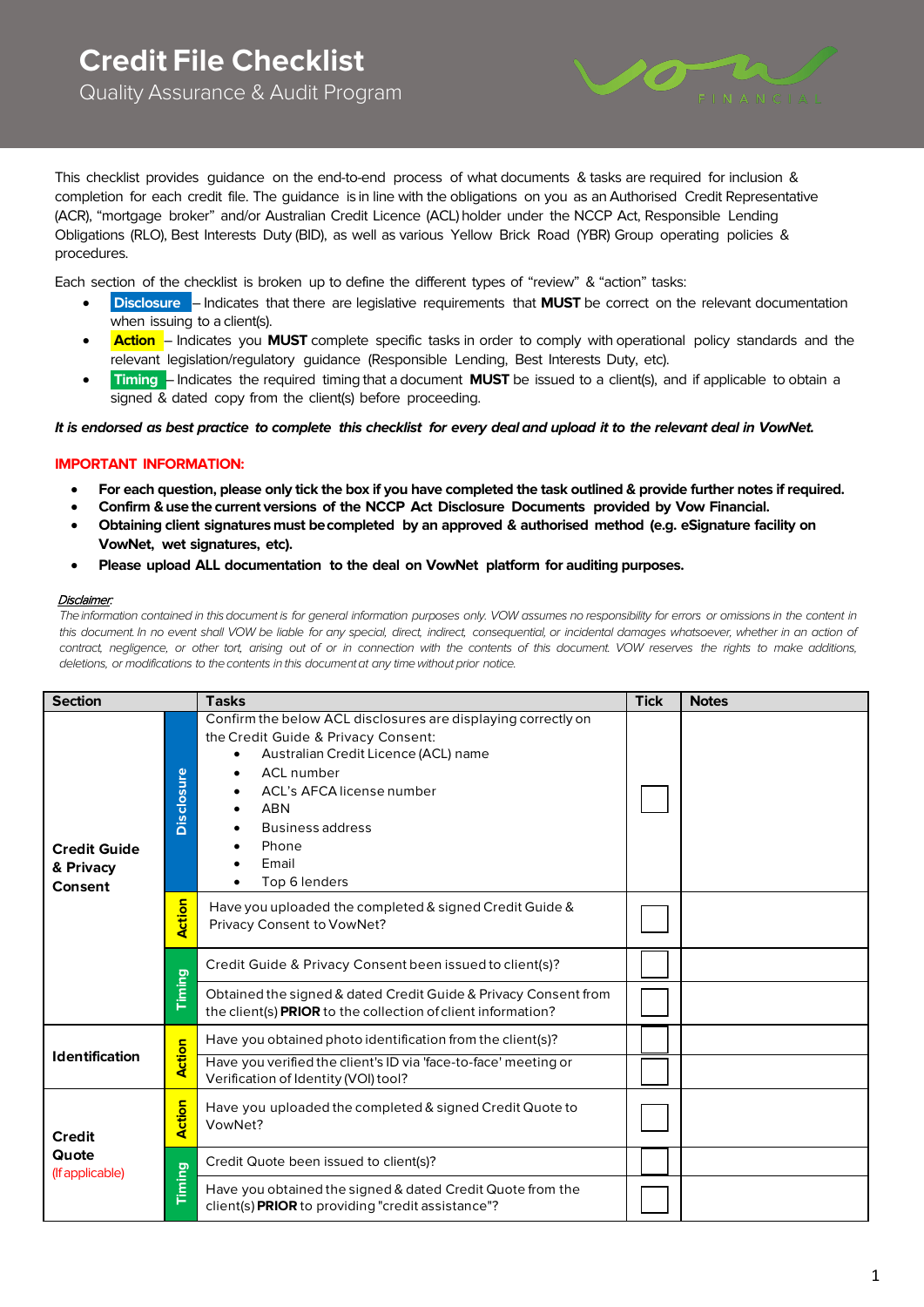

This checklist provides guidance on the end-to-end process of what documents & tasks are required for inclusion & completion for each credit file. The guidance is in line with the obligations on you as an Authorised Credit Representative (ACR), "mortgage broker" and/or Australian Credit Licence (ACL)holder under the NCCP Act, Responsible Lending Obligations (RLO), Best Interests Duty (BID), as well as various Yellow Brick Road (YBR) Group operating policies & procedures.

Each section of the checklist is broken up to define the different types of "review" & "action" tasks:

- **Disclosure** Indicates that there are legislative requirements that **MUST** be correct on the relevant documentation when issuing to a client(s).
- **Action** Indicates you MUST complete specific tasks in order to comply with operational policy standards and the relevant legislation/regulatory guidance (Responsible Lending, Best Interests Duty, etc).
- **Timing**  Indicates the required timing that adocument **MUST** be issued to a client(s), and if applicable to obtain a signed & dated copy from the client(s) before proceeding.

**It is endorsed as best practice to complete this checklist for every deal and upload it to the relevant deal in VowNet.**

### **IMPORTANT INFORMATION:**

- **For each question, please only tick the box if you have completed the task outlined & provide further notes if required.**
- **Confirm & use the current versions of the NCCP Act Disclosure Documents provided by Vow Financial.**
- **Obtaining client signatures must becompleted by an approved & authorised method (e.g. eSignature facility on VowNet, wet signatures, etc).**
- **Please upload ALL documentation to the deal on VowNet platform for auditing purposes.**

#### Disclaimer:

*Theinformation contained in thisdocument is for general information purposes only.* VOW *assumes no responsibility for errors or omissions in the content in*  this document. In no event shall VOW be liable for any special, direct, indirect, consequential, or incidental damages whatsoever, whether in an action of contract, negligence, or other tort, arising out of or in connection with the contents of this document. VOW reserves the rights to make additions, *deletions, or modifications to thecontents in this documentat any time without prior notice.* 

| <b>Section</b>                              |                   | <b>Tasks</b>                                                                                                                                                                                                                                                                                                                   | <b>Tick</b> | <b>Notes</b> |
|---------------------------------------------|-------------------|--------------------------------------------------------------------------------------------------------------------------------------------------------------------------------------------------------------------------------------------------------------------------------------------------------------------------------|-------------|--------------|
| <b>Credit Guide</b><br>& Privacy<br>Consent | <b>Disclosure</b> | Confirm the below ACL disclosures are displaying correctly on<br>the Credit Guide & Privacy Consent:<br>Australian Credit Licence (ACL) name<br>$\bullet$<br><b>ACL</b> number<br>$\bullet$<br>ACL's AFCA license number<br>$\bullet$<br><b>ABN</b><br>$\bullet$<br><b>Business address</b><br>Phone<br>Email<br>Top 6 lenders |             |              |
|                                             | <b>Action</b>     | Have you uploaded the completed & signed Credit Guide &<br>Privacy Consent to VowNet?                                                                                                                                                                                                                                          |             |              |
|                                             | Timing            | Credit Guide & Privacy Consent been issued to client(s)?                                                                                                                                                                                                                                                                       |             |              |
|                                             |                   | Obtained the signed & dated Credit Guide & Privacy Consent from<br>the client(s) PRIOR to the collection of client information?                                                                                                                                                                                                |             |              |
| <b>Identification</b>                       | <b>Action</b>     | Have you obtained photo identification from the client(s)?                                                                                                                                                                                                                                                                     |             |              |
|                                             |                   | Have you verified the client's ID via 'face-to-face' meeting or<br>Verification of Identity (VOI) tool?                                                                                                                                                                                                                        |             |              |
| <b>Credit</b><br>Quote<br>(If applicable)   | ction<br>∢        | Have you uploaded the completed & signed Credit Quote to<br>VowNet?                                                                                                                                                                                                                                                            |             |              |
|                                             |                   | Credit Quote been issued to client(s)?                                                                                                                                                                                                                                                                                         |             |              |
|                                             | Timing            | Have you obtained the signed & dated Credit Quote from the<br>client(s) PRIOR to providing "credit assistance"?                                                                                                                                                                                                                |             |              |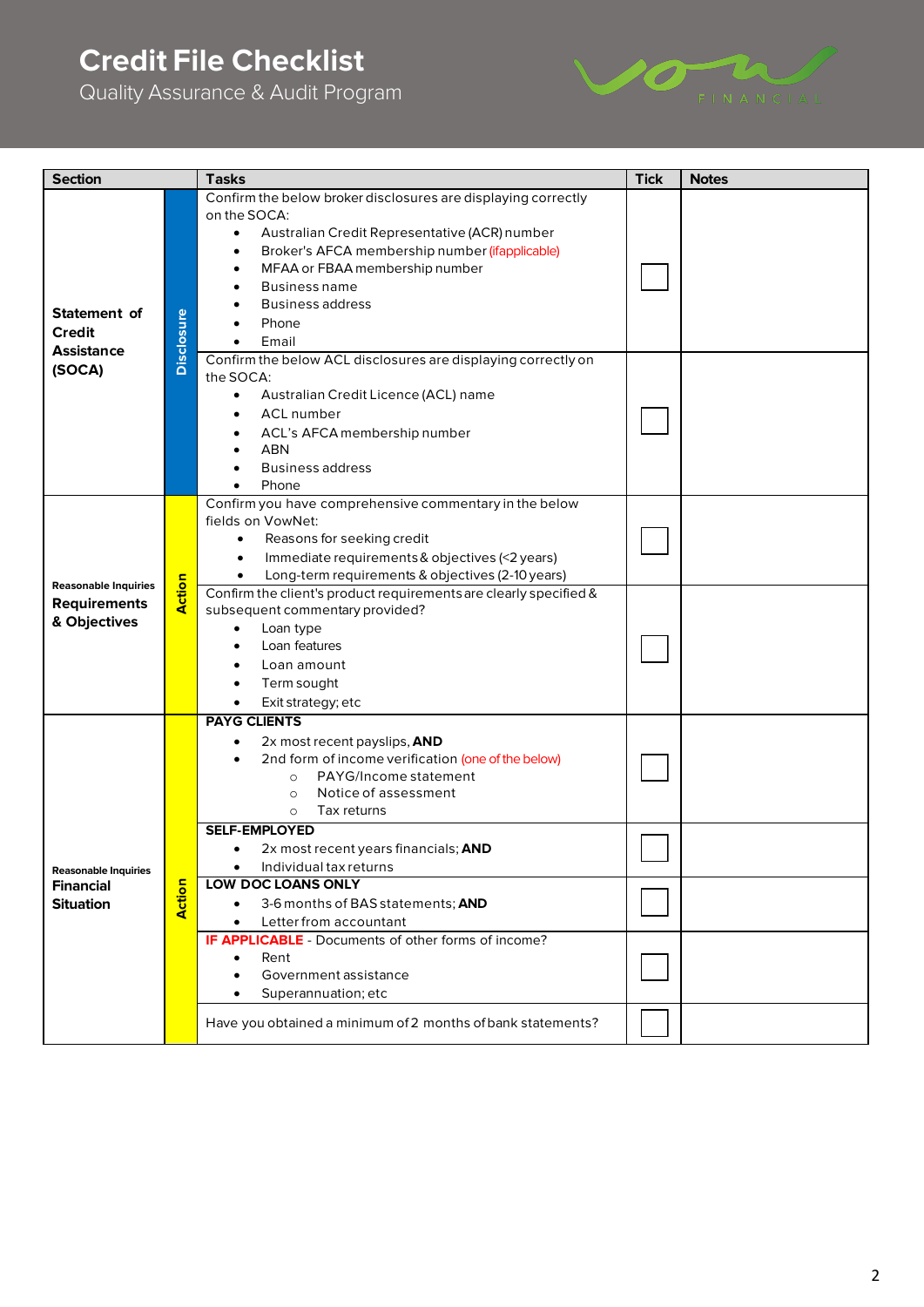## **Credit File Checklist**

Quality Assurance & Audit Program



| <b>Section</b>                                                     |                   | <b>Tasks</b>                                                                                                                                                                                                                                                                                                                                                                                                                                              | <b>Tick</b> | <b>Notes</b> |
|--------------------------------------------------------------------|-------------------|-----------------------------------------------------------------------------------------------------------------------------------------------------------------------------------------------------------------------------------------------------------------------------------------------------------------------------------------------------------------------------------------------------------------------------------------------------------|-------------|--------------|
| Statement of<br><b>Credit</b><br><b>Assistance</b><br>(SOCA)       | <b>Disclosure</b> | Confirm the below broker disclosures are displaying correctly<br>on the SOCA:<br>Australian Credit Representative (ACR) number<br>$\bullet$<br>Broker's AFCA membership number (ifapplicable)<br>٠<br>MFAA or FBAA membership number<br>$\bullet$<br><b>Business name</b><br>٠<br><b>Business address</b><br>Phone<br>Email<br>٠                                                                                                                          |             |              |
|                                                                    |                   | Confirm the below ACL disclosures are displaying correctly on<br>the SOCA:<br>Australian Credit Licence (ACL) name<br>$\bullet$<br><b>ACL</b> number<br>$\bullet$<br>ACL's AFCA membership number<br>$\bullet$<br><b>ABN</b><br>$\bullet$<br><b>Business address</b><br>Phone                                                                                                                                                                             |             |              |
| <b>Reasonable Inquiries</b><br><b>Requirements</b><br>& Objectives | <b>Action</b>     | Confirm you have comprehensive commentary in the below<br>fields on VowNet:<br>Reasons for seeking credit<br>$\bullet$<br>Immediate requirements & objectives (<2 years)<br>$\bullet$<br>Long-term requirements & objectives (2-10 years)<br>Confirm the client's product requirements are clearly specified &<br>subsequent commentary provided?<br>Loan type<br>$\bullet$<br>Loan features<br>$\bullet$<br>Loan amount<br>٠<br>Term sought<br>$\bullet$ |             |              |
| <b>Reasonable Inquiries</b>                                        |                   | Exit strategy; etc<br>$\bullet$<br><b>PAYG CLIENTS</b><br>2x most recent payslips, AND<br>$\bullet$<br>2nd form of income verification (one of the below)<br>PAYG/Income statement<br>$\circ$<br>Notice of assessment<br>$\circ$<br>Tax returns<br>$\circ$<br><b>SELF-EMPLOYED</b><br>2x most recent years financials; AND<br>٠<br>$\bullet$<br>Individual tax returns                                                                                    |             |              |
| <b>Financial</b><br><b>Situation</b>                               | Action            | <b>LOW DOC LOANS ONLY</b><br>3-6 months of BAS statements; AND<br>Letter from accountant<br><b>IF APPLICABLE</b> - Documents of other forms of income?<br>Rent<br>$\bullet$<br>Government assistance<br>٠<br>Superannuation; etc<br>٠<br>Have you obtained a minimum of 2 months of bank statements?                                                                                                                                                      |             |              |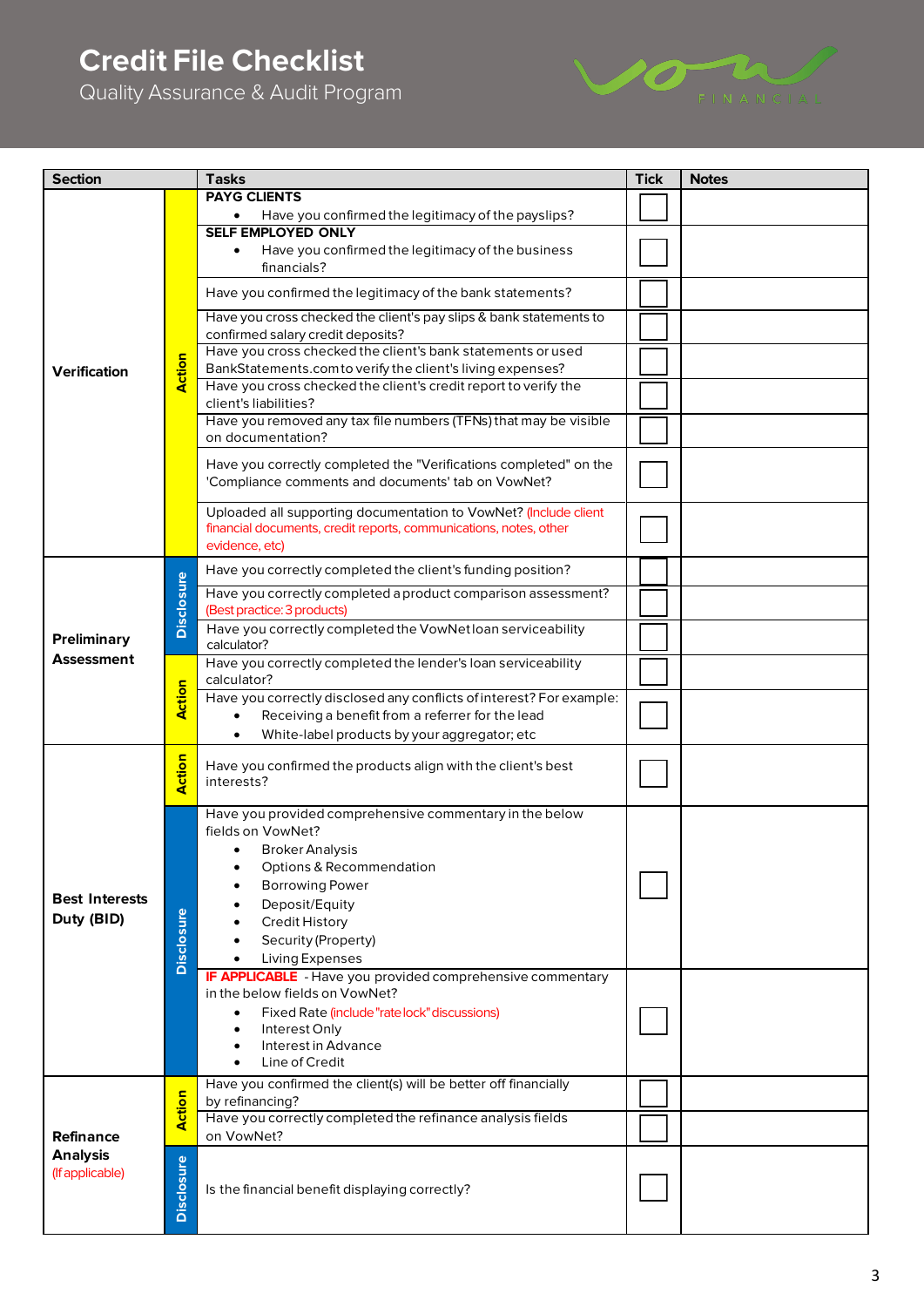# **Credit File Checklist**

Quality Assurance & Audit Program



| <b>Section</b>                      |                   | <b>Tasks</b>                                                                                                                          | <b>Tick</b> | <b>Notes</b> |
|-------------------------------------|-------------------|---------------------------------------------------------------------------------------------------------------------------------------|-------------|--------------|
|                                     |                   | <b>PAYG CLIENTS</b>                                                                                                                   |             |              |
|                                     |                   | Have you confirmed the legitimacy of the payslips?                                                                                    |             |              |
|                                     |                   | <b>SELF EMPLOYED ONLY</b>                                                                                                             |             |              |
|                                     |                   | Have you confirmed the legitimacy of the business                                                                                     |             |              |
|                                     |                   | financials?                                                                                                                           |             |              |
|                                     |                   |                                                                                                                                       |             |              |
|                                     |                   | Have you confirmed the legitimacy of the bank statements?                                                                             |             |              |
|                                     |                   | Have you cross checked the client's pay slips & bank statements to                                                                    |             |              |
|                                     | Action            | confirmed salary credit deposits?                                                                                                     |             |              |
|                                     |                   | Have you cross checked the client's bank statements or used                                                                           |             |              |
| Verification                        |                   | BankStatements.comto verify the client's living expenses?                                                                             |             |              |
|                                     |                   | Have you cross checked the client's credit report to verify the                                                                       |             |              |
|                                     |                   | client's liabilities?                                                                                                                 |             |              |
|                                     |                   | Have you removed any tax file numbers (TFNs) that may be visible<br>on documentation?                                                 |             |              |
|                                     |                   |                                                                                                                                       |             |              |
|                                     |                   | Have you correctly completed the "Verifications completed" on the                                                                     |             |              |
|                                     |                   | 'Compliance comments and documents' tab on VowNet?                                                                                    |             |              |
|                                     |                   |                                                                                                                                       |             |              |
|                                     |                   | Uploaded all supporting documentation to VowNet? (Include client<br>financial documents, credit reports, communications, notes, other |             |              |
|                                     |                   | evidence, etc)                                                                                                                        |             |              |
|                                     |                   |                                                                                                                                       |             |              |
|                                     |                   | Have you correctly completed the client's funding position?                                                                           |             |              |
|                                     | <b>Disclosure</b> | Have you correctly completed a product comparison assessment?                                                                         |             |              |
|                                     |                   | (Best practice: 3 products)                                                                                                           |             |              |
| <b>Preliminary</b>                  |                   | Have you correctly completed the VowNet loan serviceability                                                                           |             |              |
| Assessment                          |                   | calculator?                                                                                                                           |             |              |
|                                     | Action            | Have you correctly completed the lender's loan serviceability<br>calculator?                                                          |             |              |
|                                     |                   | Have you correctly disclosed any conflicts of interest? For example:                                                                  |             |              |
|                                     |                   | Receiving a benefit from a referrer for the lead                                                                                      |             |              |
|                                     |                   | White-label products by your aggregator; etc<br>$\bullet$                                                                             |             |              |
|                                     |                   |                                                                                                                                       |             |              |
|                                     | Action            | Have you confirmed the products align with the client's best                                                                          |             |              |
|                                     |                   | interests?                                                                                                                            |             |              |
|                                     |                   | Have you provided comprehensive commentary in the below                                                                               |             |              |
|                                     |                   | fields on VowNet?                                                                                                                     |             |              |
|                                     |                   | Broker Analysis                                                                                                                       |             |              |
|                                     |                   | Options & Recommendation                                                                                                              |             |              |
|                                     |                   | <b>Borrowing Power</b>                                                                                                                |             |              |
| <b>Best Interests</b><br>Duty (BID) |                   | Deposit/Equity                                                                                                                        |             |              |
|                                     |                   | <b>Credit History</b>                                                                                                                 |             |              |
|                                     |                   | Security (Property)                                                                                                                   |             |              |
|                                     | <b>Disclosure</b> | Living Expenses                                                                                                                       |             |              |
|                                     |                   | <b>IF APPLICABLE</b> - Have you provided comprehensive commentary                                                                     |             |              |
|                                     |                   | in the below fields on VowNet?                                                                                                        |             |              |
|                                     |                   | Fixed Rate (include "rate lock" discussions)<br>$\bullet$                                                                             |             |              |
|                                     |                   | Interest Only<br>$\bullet$<br>Interest in Advance<br>$\bullet$                                                                        |             |              |
|                                     |                   | Line of Credit                                                                                                                        |             |              |
|                                     |                   | Have you confirmed the client(s) will be better off financially                                                                       |             |              |
| Refinance<br><b>Analysis</b>        |                   | by refinancing?                                                                                                                       |             |              |
|                                     | Action            | Have you correctly completed the refinance analysis fields                                                                            |             |              |
|                                     |                   | on VowNet?                                                                                                                            |             |              |
|                                     |                   |                                                                                                                                       |             |              |
| (If applicable)                     |                   |                                                                                                                                       |             |              |
|                                     | <b>Disclosure</b> | Is the financial benefit displaying correctly?                                                                                        |             |              |
|                                     |                   |                                                                                                                                       |             |              |
|                                     |                   |                                                                                                                                       |             |              |